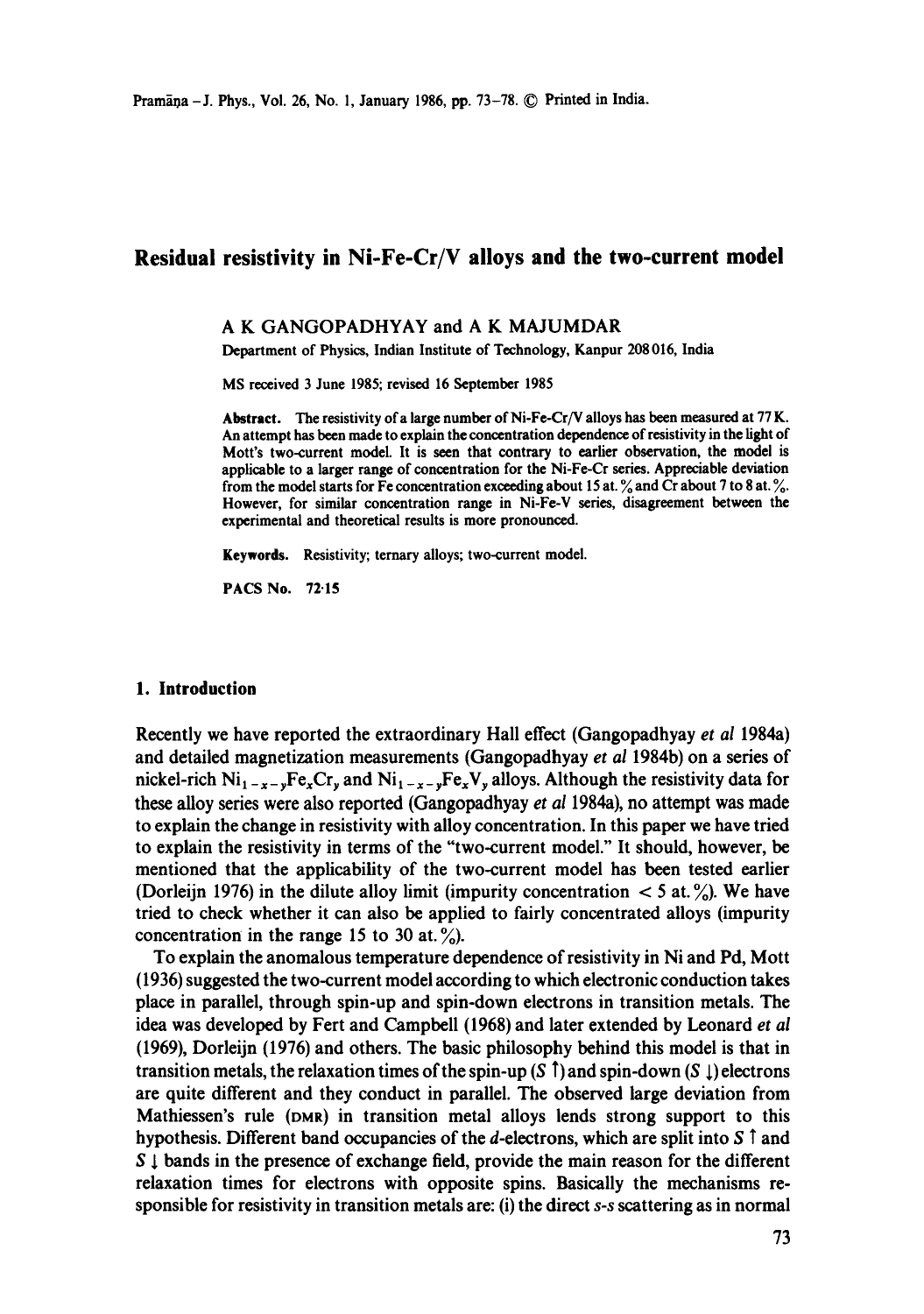# Residual resistivity in Ni-Fe-Cr/V alloys and the two-current **model**

## A K GANGOPADHYAY and A K MAJUMDAR

Department of Physics, Indian Institute of Technology, Kanpur 208016, India

MS received 3 June 1985; revised 16 September 1985

Abstract. The resistivity of a large number of Ni-Fe-Cr/V alloys has been measured at 77 K. An attempt has been made to explain the concentration dependence of resistivity in the fight of Mott's two-current model. It is seen that contrary to earlier observation, the model is applicable to a larger range of concentration for the Ni-Fe-Cr series. Appreciable deviation from the model starts for Fe concentration exceeding about 15 at.  $\%$  and Cr about 7 to 8 at.  $\%$ . However, for similar concentration range in Ni-Fe-V series, disagreement between the experimental and theoretical results is more pronounced.

**Keywords.** Resistivity; ternary alloys; two-current model.

PACS No. 72.15

#### **1. Introduction**

Recently we have reported the extraordinary Hall effect (Gangopadhyay *et al* 1984a) and detailed magnetization measurements (Gangopadhyay *et al* 1984b) on a series of nickel-rich  $Ni_{1-x-y}Fe_xCr_y$  and  $Ni_{1-x-y}Fe_xV_y$  alloys. Although the resistivity data for these alloy series were also reported (Gangopadhyay *et al* 1984a), no attempt was made to explain the change in resistivity with alloy concentration. In this paper we have tried to explain the resistivity in terms of the "two-current model." It should, however, be mentioned that the applicability of the two-current model has been tested earlier (Dorleijn 1976) in the dilute alloy limit (impurity concentration  $\lt$  5 at. %). We have tried to check whether it can also be applied to fairly concentrated alloys (impurity concentration in the range 15 to 30 at.  $\frac{\%}{\%}$ .

To explain the anomalous temperature dependence of resistivity in Ni and Pd, Mott (1936) suggested the two-current model according to which electronic conduction takes place in parallel, through spin-up and spin-down electrons in transition metals. The idea was developed by Fert and Campbell (1968) and later extended by Leonard *et al*  (1969), Dorleijn (1976) and others. The basic philosophy behind this model is that in transition metals, the relaxation times of the spin-up  $(S \tcdot)$  and spin-down  $(S \tcdot)$  electrons are quite different and they conduct in parallel. The observed large deviation from Mathiessen's rule (DMR) in transition metal alloys lends strong support to this hypothesis. Different band occupancies of the *d*-electrons, which are split into  $S \uparrow$  and  $S \downarrow$  bands in the presence of exchange field, provide the main reason for the different relaxation times for electrons with opposite spins. Basically the mechanisms responsible for resistivity in transition metals are: (i) the direct *s-s* scattering as in normal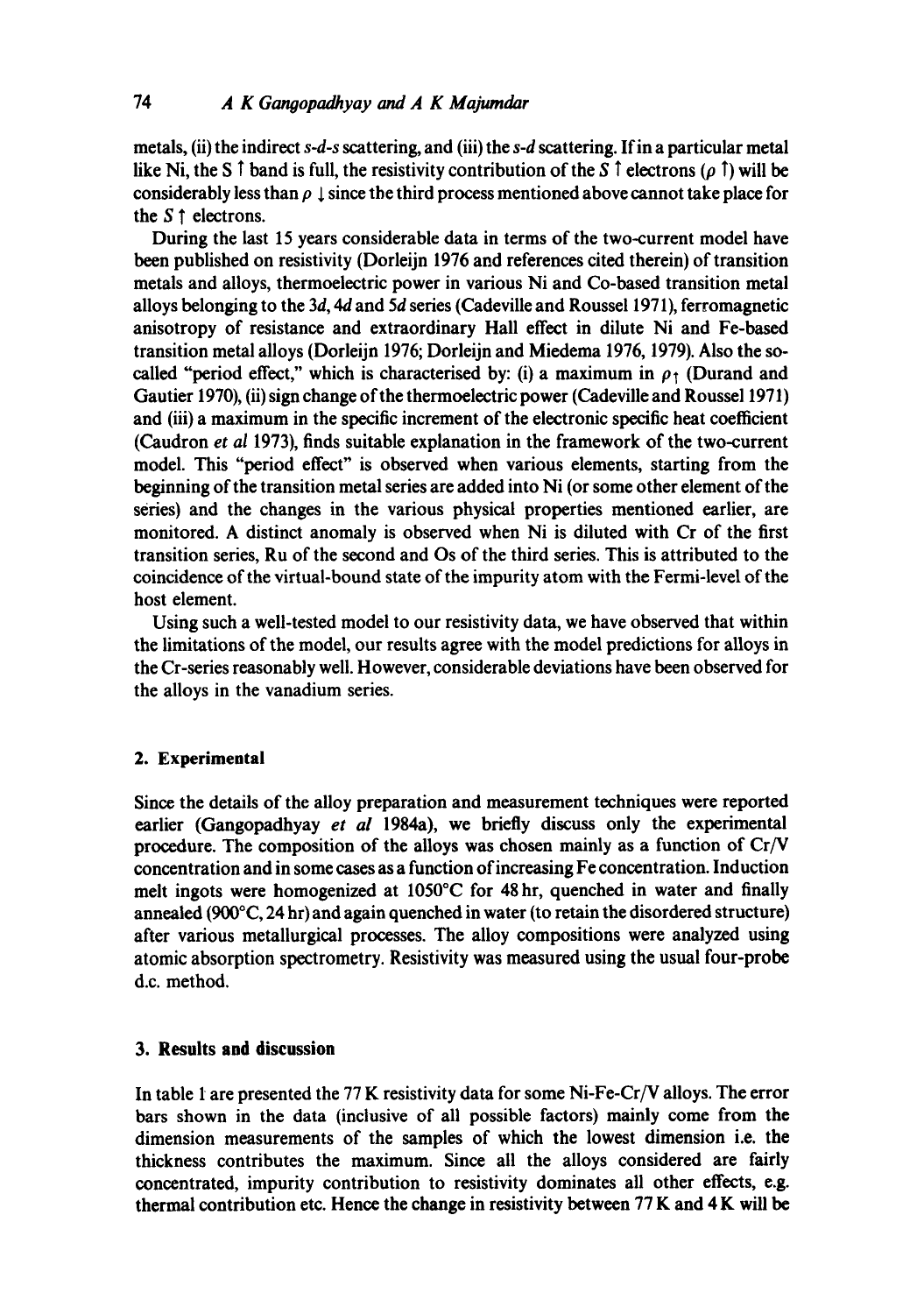metals, (ii) the indirect *s-d-s* scattering, and (iii) the *s-d* scattering. If in a particular metal like Ni, the S  $\uparrow$  band is full, the resistivity contribution of the S  $\uparrow$  electrons ( $\rho \uparrow$ ) will be considerably less than  $\rho \perp$  since the third process mentioned above cannot take place for the  $S \uparrow$  electrons.

During the last 15 years considerable data in terms of the two-current model have been published on resistivity (Dorleijn 1976 and references cited therein) of transition metals and alloys, thermoelectric power in various Ni and Co-based transition metal alloys belonging to the *3d, 4d* and 5d series (Cadeville and Roussel 1971), ferromagnetic anisotropy of resistance and extraordinary Hall effect in dilute Ni and Fe-based transition metal alloys (Dorleijn 1976; Dorleijn and Miedema 1976, 1979). Also the socalled "period effect," which is characterised by: (i) a maximum in  $\rho_1$  (Durand and Gautier 1970), (ii) sign change of the thermoelectric power (Cadeville and Roussel 1971) and (iii) a maximum in the specific increment of the electronic specific heat coefficient (Caudron *et al* 1973), finds suitable explanation in the framework of the two-current model. This "period effect" is observed when various elements, starting from the beginning of the transition metal series are added into Ni (or some other element of the series) and the changes in the various physical properties mentioned earlier, are monitored. A distinct anomaly is observed when Ni is diluted with Cr of the first transition series, Ru of the second and Os of the third series. This is attributed to the coincidence of the virtual-bound state of the impurity atom with the Fermi-level of the host element.

Using such a well-tested model to our resistivity data, we have observed that within the limitations of the model, our results agree with the model predictions for alloys in the Cr-series reasonably well. However, considerable deviations have been observed for the alloys in the vanadium series.

# **2. Experimental**

Since the details of the alloy preparation and measurement techniques were reported earlier (Gangopadhyay *et al* 1984a), we briefly discuss only the experimental procedure. The composition of the alloys was chosen mainly as a function of Cr/V concentration and in some cases as a function of increasing Fe concentration. Induction melt ingots were homogenized at 1050°C for 48 hr, quenched in water and finally annealed (900°C, 24 hr) and again quenched in water (to retain the disordered structure) after various metallurgical processes. The alloy compositions were analyzed using atomic absorption spectrometry. Resistivity was measured using the usual four-probe d.c. method.

# **3. Results and discussion**

In table 1 are presented the 77 K resistivity data for some Ni-Fe-Cr/V alloys. The error bars shown in the data (inclusive of all possible factors) mainly come from the dimension measurements of the samples of which the lowest dimension i.e. the thickness contributes the maximum. Since all the alloys considered are fairly concentrated, impurity contribution to resistivity dominates all other effects, e.g. thermal contribution etc. Hence the change in resistivity between 77 K and 4 K will be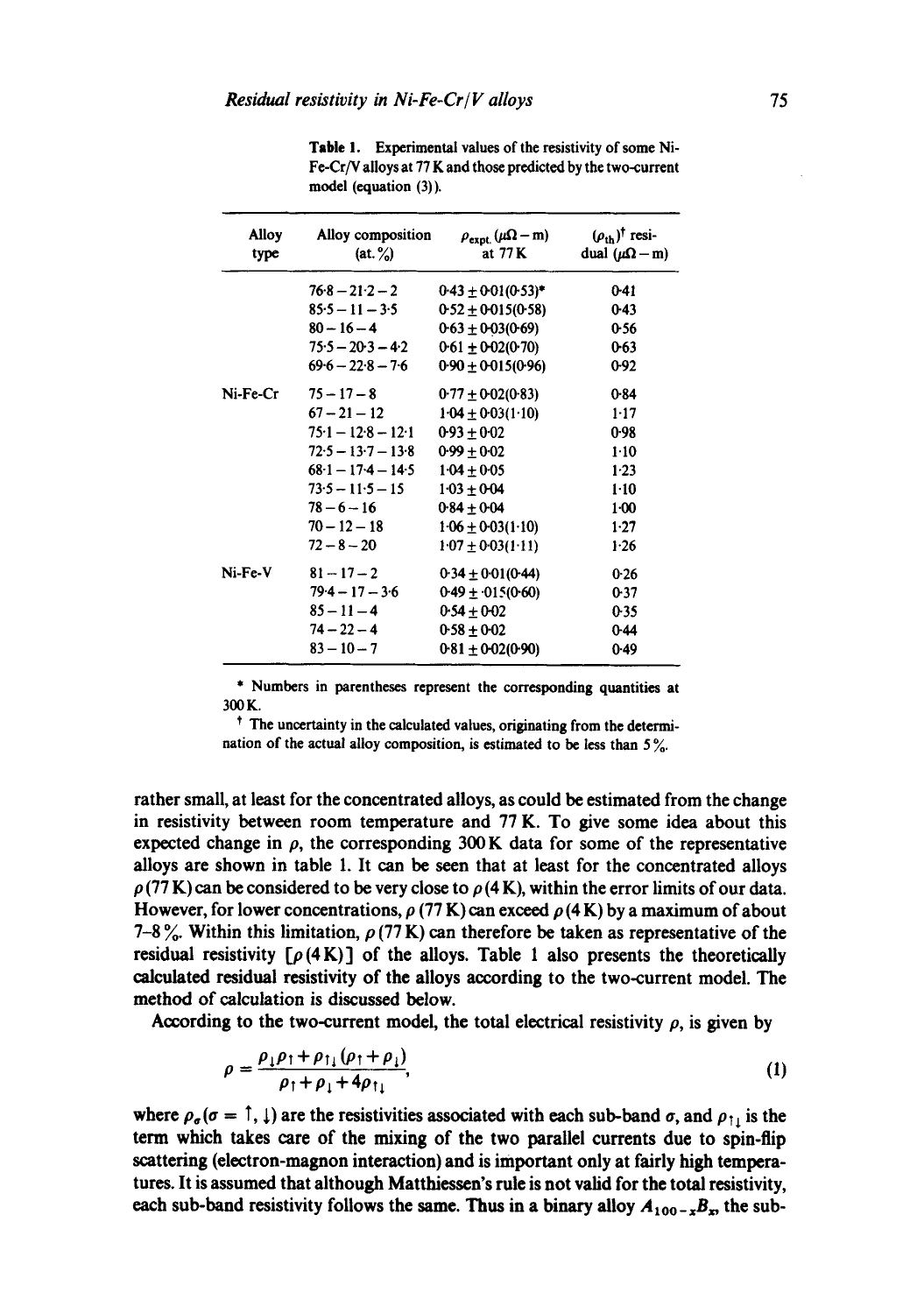| Alloy<br>type | Alloy composition<br>(at, % ) | $\rho_{\rm expt.}(\mu\Omega - m)$<br>at 77 K | $(\rho_{\text{th}})^\dagger$ resi-<br>dual ( $\mu$ Ω – m) |
|---------------|-------------------------------|----------------------------------------------|-----------------------------------------------------------|
|               | $76.8 - 21.2 - 2$             | $0.43 \pm 0.01(0.53)^*$                      | 041                                                       |
|               | $85.5 - 11 - 3.5$             | $0.52 \pm 0.015(0.58)$                       | $0-43$                                                    |
|               | $80 - 16 - 4$                 | $0.63 \pm 0.03(0.69)$                        | 0.56                                                      |
|               | $75.5 - 20.3 - 4.2$           | $0.61 \pm 0.02(0.70)$                        | $0 - 63$                                                  |
|               | $69.6 - 22.8 - 7.6$           | $0.90 \pm 0.015(0.96)$                       | 0.92                                                      |
| Ni-Fe-Cr      | $75 - 17 - 8$                 | $0.77 \pm 0.02(0.83)$                        | 0.84                                                      |
|               | $67 - 21 - 12$                | $1.04 \pm 0.03(1.10)$                        | $1-17$                                                    |
|               | $75.1 - 12.8 - 12.1$          | $0.93 + 0.02$                                | 0.98                                                      |
|               | $72.5 - 13.7 - 13.8$          | $0.99 \pm 0.02$                              | $1-10$                                                    |
|               | $68-1 - 17-4 - 14-5$          | $1.04 \pm 0.05$                              | $1-23$                                                    |
|               | $73.5 - 11.5 - 15$            | $1.03 + 0.04$                                | $1 - 10$                                                  |
|               | $78 - 6 - 16$                 | $0.84 \pm 0.04$                              | $1-00$                                                    |
|               | $70 - 12 - 18$                | $1.06 \pm 0.03(1.10)$                        | $1-27$                                                    |
|               | $72 - 8 - 20$                 | $1.07 \pm 0.03(1.11)$                        | 1.26                                                      |
| Ni-Fe-V       | $81 - 17 - 2$                 | $0.34 \pm 0.01(0.44)$                        | 0.26                                                      |
|               | $79.4 - 17 - 3.6$             | $0.49 \pm 0.15(0.60)$                        | 0.37                                                      |
|               | $85 - 11 - 4$                 | $0.54 + 0.02$                                | 0.35                                                      |
|               | $74 - 22 - 4$                 | $0.58 \pm 0.02$                              | $0-44$                                                    |
|               | $83 - 10 - 7$                 | $0.81 + 0.02(0.90)$                          | 0.49                                                      |

**Table I. Experimental values of the resistivity of some Ni-Fe-Cr/V alloys at** 77 K **and those predicted by the two-current model (equation** (3)).

**\* Numbers in parentheses represent the corresponding quantities at**  300K.

**t The uncertainty in the calculated values, originating from the determination of the actual alloy composition, is estimated to be less than** 5 %.

**rather small, at least for the concentrated alloys, as could be estimated from the change in resistivity between room temperature and 77 K. To give some idea about this**  expected change in  $\rho$ , the corresponding 300 K data for some of the representative **alloys are shown in table 1. It can be seen that at least for the concentrated alloys**   $p(77 K)$  can be considered to be very close to  $p(4 K)$ , within the error limits of our data. However, for lower concentrations,  $\rho$  (77 K) can exceed  $\rho$  (4 K) by a maximum of about 7-8%. Within this limitation,  $\rho$  (77 K) can therefore be taken as representative of the **residual resistivity**  $[\rho(4K)]$  **of the alloys. Table 1 also presents the theoretically calculated residual resistivity of the alloys according to the two-current model. The method of calculation is discussed below.** 

According to the two-current model, the total electrical resistivity  $\rho$ , is given by

$$
\rho = \frac{\rho_1 \rho_1 + \rho_{11} (\rho_1 + \rho_1)}{\rho_1 + \rho_1 + 4\rho_{11}},\tag{1}
$$

where  $\rho_{\sigma}(\sigma = \hat{\tau}, \hat{\tau})$  are the resistivities associated with each sub-band  $\sigma$ , and  $\rho_{\hat{\tau}}$  is the **term which takes care of the mixing of the two parallel currents due to spin-flip scattering (electron-magnon interaction) and is important only at fairly high temperatures. It is assumed that although Matthiessen's rule is not valid for the total resistivity,**  each sub-band resistivity follows the same. Thus in a binary alloy  $A_{100-x}B_x$ , the sub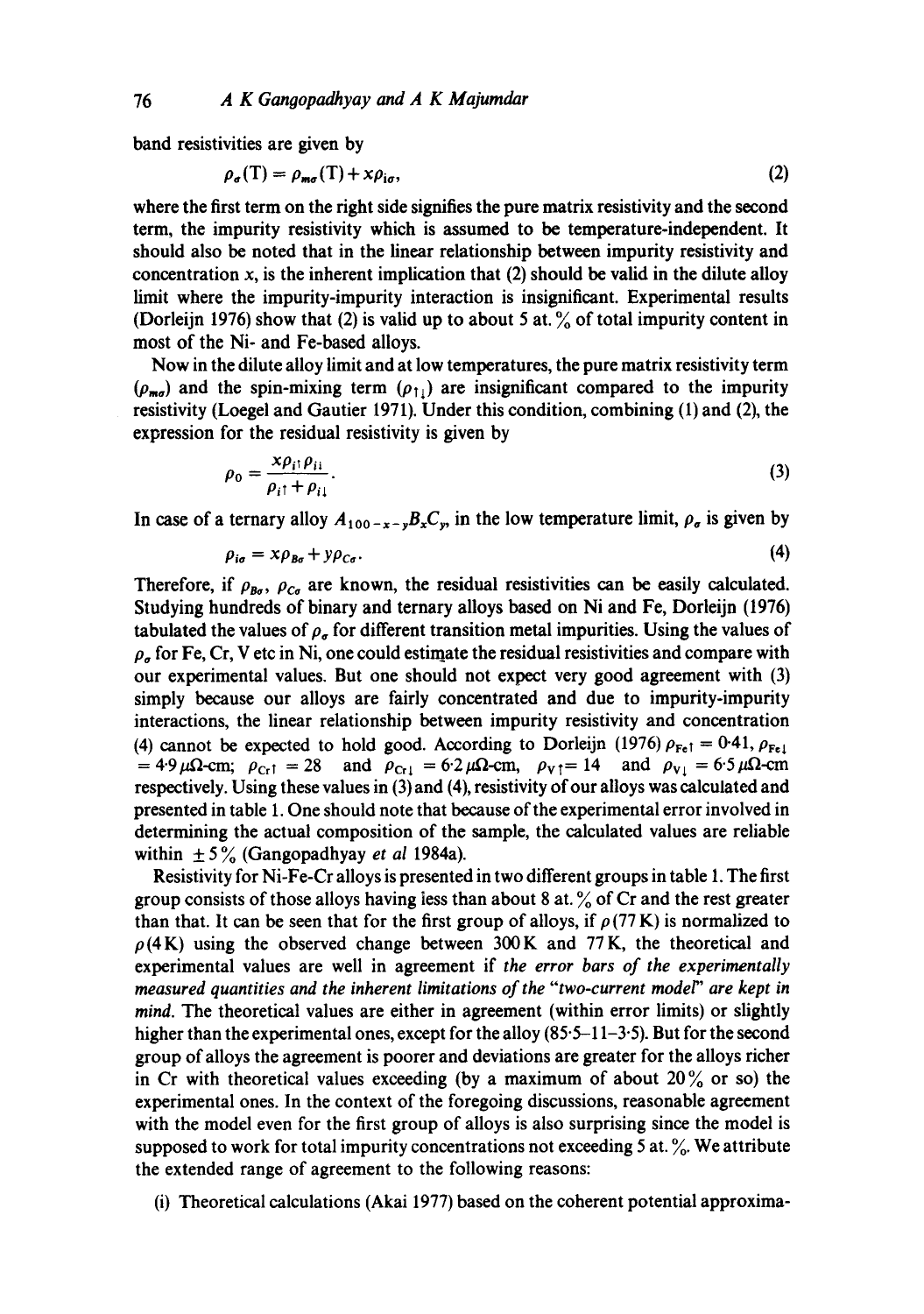band resistivities are given by

$$
\rho_{\sigma}(T) = \rho_{m\sigma}(T) + x\rho_{i\sigma},\tag{2}
$$

where the first term on the right side signifies the pure matrix resistivity and the second term, the impurity resistivity which is assumed to be temperature-independent. It should also be noted that in the linear relationship between impurity resistivity and concentration  $x$ , is the inherent implication that (2) should be valid in the dilute alloy limit where the impurity-impurity interaction is insignificant. Experimental results (Dorleijn 1976) show that (2) is valid up to about 5 at. % of total impurity content in most of the Ni- and Fe-based alloys.

Now in the dilute alloy limit and at low temperatures, the pure matrix resistivity term  $(\rho_{\text{mod}})$  and the spin-mixing term  $(\rho_{1})$  are insignificant compared to the impurity resistivity (Loegel and Gautier 1971). Under this condition, combining (1) and (2), the expression for the residual resistivity is given by

$$
\rho_0 = \frac{x \rho_{i1} \rho_{i1}}{\rho_{i1} + \rho_{i1}}.
$$
\n(3)

In case of a ternary alloy  $A_{100-x-y}B_xC_y$ , in the low temperature limit,  $\rho_{\sigma}$  is given by

$$
\rho_{i\sigma} = x\rho_{B\sigma} + y\rho_{C\sigma}.\tag{4}
$$

Therefore, if  $\rho_{B\sigma}$ ,  $\rho_{C\sigma}$  are known, the residual resistivities can be easily calculated. Studying hundreds of binary and ternary alloys based on Ni and Fe, Dorleijn (1976) tabulated the values of  $\rho_{\sigma}$  for different transition metal impurities. Using the values of  $\rho_{\sigma}$  for Fe, Cr, V etc in Ni, one could estimate the residual resistivities and compare with our experimental values. But one should not expect very good agreement with (3) simply because our alloys are fairly concentrated and due to impurity-impurity interactions, the linear relationship between impurity resistivity and concentration (4) cannot be expected to hold good. According to Dorleijn (1976)  $\rho_{\text{Fe}1} = 0.41$ ,  $\rho_{\text{Fe}1}$  $= 4.9 \mu \Omega$ -cm;  $\rho_{Cr1} = 28$  and  $\rho_{Cr1} = 6.2 \mu \Omega$ -cm,  $\rho_{V1} = 14$  and  $\rho_{V1} = 6.5 \mu \Omega$ -cm respectively. Using these values in (3) and (4), resistivity of our alloys was calculated and presented in table 1. One should note that because of the experimental error involved in determining the actual composition of the sample, the calculated values are reliable within  $\pm 5\%$  (Gangopadhyay *et al* 1984a).

Resistivity for Ni-Fe-Cr alloys is presented in two different groups in table 1. The first group consists of those alloys having less than about 8 at.  $\%$  of Cr and the rest greater than that. It can be seen that for the first group of alloys, if  $\rho$  (77 K) is normalized to  $\rho$ (4K) using the observed change between 300K and 77K, the theoretical and experimental values are well in agreement if *the error bars of the experimentally measured quantities and the inherent limitations of the "two-current model" are kept in mind. The* theoretical values are either in agreement (within error limits) or slightly higher than the experimental ones, except for the alloy  $(85-11-3.5)$ . But for the second group of alloys the agreement is poorer and deviations are greater for the alloys richer in Cr with theoretical values exceeding (by a maximum of about  $20\%$  or so) the experimental ones. In the context of the foregoing discussions, reasonable agreement with the model even for the first group of alloys is also surprising since the model is supposed to work for total impurity concentrations not exceeding 5 at.  $\%$ . We attribute the extended range of agreement to the following reasons:

(i) Theoretical calculations (Akai 1977) based on the coherent potential approxima-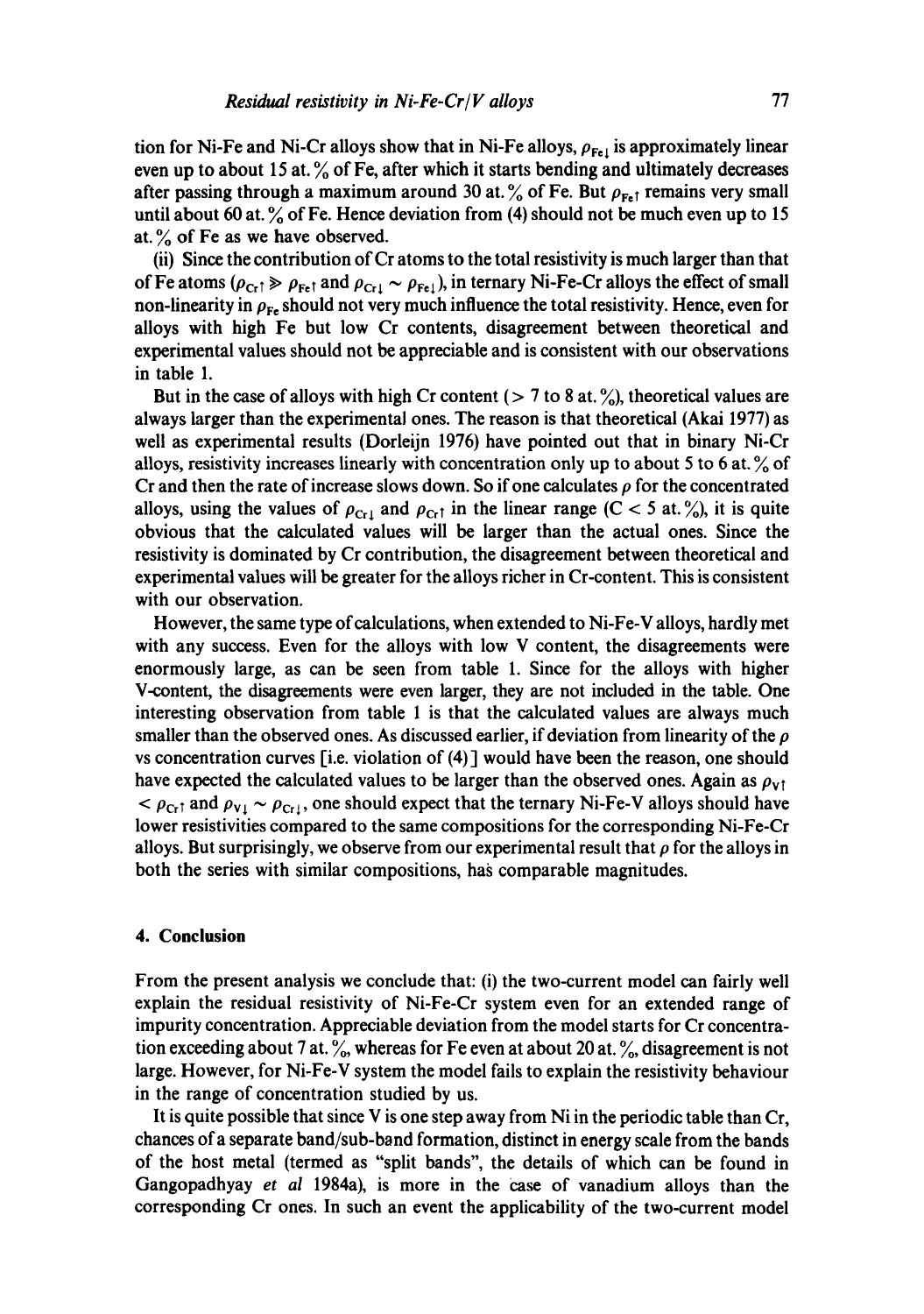tion for Ni-Fe and Ni-Cr alloys show that in Ni-Fe alloys,  $\rho_{\text{Fe}1}$  is approximately linear even up to about 15 at. % of Fe, after which it starts bending and ultimately decreases after passing through a maximum around 30 at.  $\frac{6}{10}$  of Fe. But  $\rho_{\text{Fe}}$  remains very small until about 60 at.  $\%$  of Fe. Hence deviation from (4) should not be much even up to 15 at.  $\%$  of Fe as we have observed.

(ii) Since the contribution of Cr atoms to the total resistivity is much larger than that of Fe atoms ( $\rho_{Cr} \gg \rho_{Fe}$  and  $\rho_{Cr} \sim \rho_{Fe}$ ), in ternary Ni-Fe-Cr alloys the effect of small non-linearity in  $\rho_{Fe}$  should not very much influence the total resistivity. Hence, even for alloys with high Fe but low Cr contents, disagreement between theoretical and experimental values should not be appreciable and is consistent with our observations in table 1.

But in the case of alloys with high Cr content ( $> 7$  to 8 at. %), theoretical values are always larger than the experimental ones. The reason is that theoretical (Akai 1977) as well as experimental results (Dorleijn 1976) have pointed out that in binary Ni-Cr alloys, resistivity increases linearly with concentration only up to about 5 to 6 at. % of Cr and then the rate of increase slows down. So if one calculates  $\rho$  for the concentrated alloys, using the values of  $\rho_{\text{Cr1}}$  and  $\rho_{\text{Cr1}}$  in the linear range (C < 5 at. %), it is quite obvious that the calculated values will be larger than the actual ones. Since the resistivity is dominated by Cr contribution, the disagreement between theoretical and experimental values will be greater for the alloys richer in Cr-content. This is consistent with our observation.

However, the same type of calculations, when extended to Ni-Fe-V alloys, hardly met with any success. Even for the alloys with low V content, the disagreements were enormously large, as can be seen from table 1. Since for the alloys with higher V-content, the disagreements were even larger, they are not included in the table. One interesting observation from table 1 is that the calculated values are always much smaller than the observed ones. As discussed earlier, if deviation from linearity of the  $\rho$ vs concentration curves [i.e. violation of (4) ] would have been the reason, one should have expected the calculated values to be larger than the observed ones. Again as  $\rho_{\rm vt}$  $\epsilon > \rho_{\text{Cr}^{\dagger}}$  and  $\rho_{\text{V}1} \sim \rho_{\text{Cr}^{\dagger}}$ , one should expect that the ternary Ni-Fe-V alloys should have lower resistivities compared to the same compositions for the corresponding Ni-Fe-Cr alloys. But surprisingly, we observe from our experimental result that  $\rho$  for the alloys in both the series with similar compositions, has comparable magnitudes.

## **4. Conclusion**

From the present analysis we conclude that: (i) the two-current model can fairly well explain the residual resistivity of Ni-Fe-Cr system even for an extended range of impurity concentration. Appreciable deviation from the model starts for Cr concentration exceeding about 7 at.  $\%$ , whereas for Fe even at about 20 at.  $\%$ , disagreement is not large. However, for Ni-Fe-V system the model fails to explain the resistivity behaviour in the range of concentration studied by us.

It is quite possible that since V is one step away from Ni in the periodic table than Cr, chances of a separate band/sub-band formation, distinct in energy scale from the bands of the host metal (termed as "split bands", the details of which can be found in Gangopadhyay *et al* 1984a), is more in the case of vanadium alloys than the corresponding Cr ones. In such an event the applicability of the two-current model